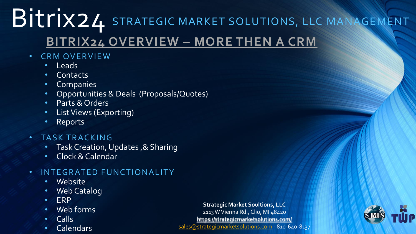# BITTIX24 STRATEGIC MARKET SOLUTIONS, LLC MANAGEMENT **BITRIX24 OVERVIEW – MORE THEN A CRM**

- CRM OVERVIEW
	- Leads
	- Contacts
	- **Companies**
	- Opportunities & Deals (Proposals/Quotes)
	- Parts & Orders
	- List Views (Exporting)
	- Reports
- TASK TRACKING
	- Task Creation, Updates ,& Sharing
	- Clock & Calendar

### • INTEGRATED FUNCTIONALITY

- Website
- Web Catalog
- ERP
- Web forms
- Calls
- **Calendars**

**Strategic Market Soultions, LLC** 2113 W Vienna Rd., Clio, MI 48420 <https://strategicmarketsolutions.com/> [sales@strategicmarketsolutions.com](mailto:sales@strategicmarketsolutions.com) - 810-640-8137